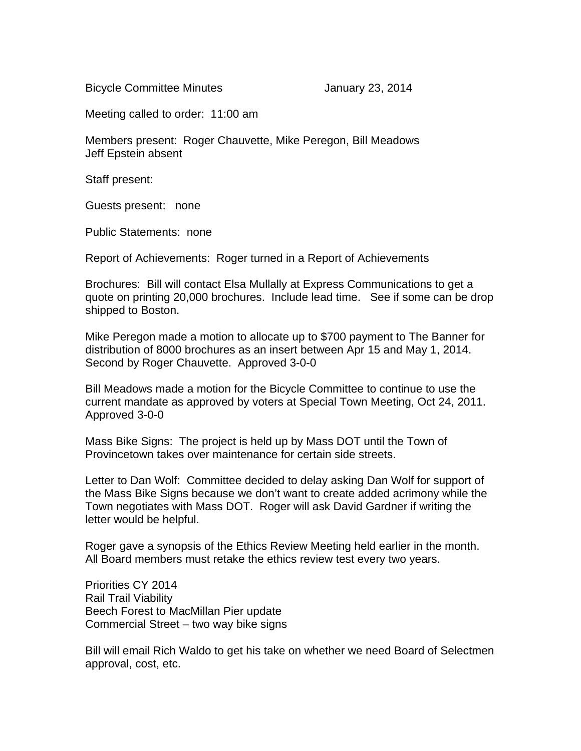Bicycle Committee Minutes **Internal Committee Minutes** January 23, 2014

Meeting called to order: 11:00 am

Members present: Roger Chauvette, Mike Peregon, Bill Meadows Jeff Epstein absent

Staff present:

Guests present: none

Public Statements: none

Report of Achievements: Roger turned in a Report of Achievements

Brochures: Bill will contact Elsa Mullally at Express Communications to get a quote on printing 20,000 brochures. Include lead time. See if some can be drop shipped to Boston.

Mike Peregon made a motion to allocate up to \$700 payment to The Banner for distribution of 8000 brochures as an insert between Apr 15 and May 1, 2014. Second by Roger Chauvette. Approved 3-0-0

Bill Meadows made a motion for the Bicycle Committee to continue to use the current mandate as approved by voters at Special Town Meeting, Oct 24, 2011. Approved 3-0-0

Mass Bike Signs: The project is held up by Mass DOT until the Town of Provincetown takes over maintenance for certain side streets.

Letter to Dan Wolf: Committee decided to delay asking Dan Wolf for support of the Mass Bike Signs because we don't want to create added acrimony while the Town negotiates with Mass DOT. Roger will ask David Gardner if writing the letter would be helpful.

Roger gave a synopsis of the Ethics Review Meeting held earlier in the month. All Board members must retake the ethics review test every two years.

Priorities CY 2014 Rail Trail Viability Beech Forest to MacMillan Pier update Commercial Street – two way bike signs

Bill will email Rich Waldo to get his take on whether we need Board of Selectmen approval, cost, etc.